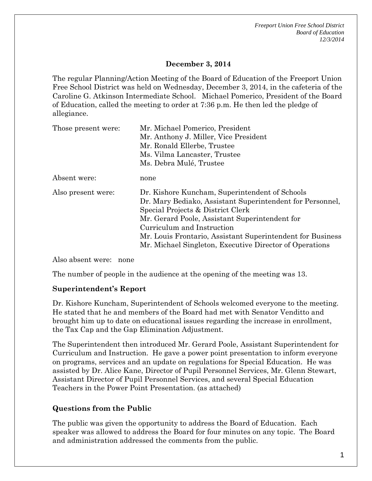*Freeport Union Free School District Board of Education 12/3/2014*

# **December 3, 2014**

The regular Planning/Action Meeting of the Board of Education of the Freeport Union Free School District was held on Wednesday, December 3, 2014, in the cafeteria of the Caroline G. Atkinson Intermediate School. Michael Pomerico, President of the Board of Education, called the meeting to order at 7:36 p.m. He then led the pledge of allegiance.

| Those present were: | Mr. Michael Pomerico, President<br>Mr. Anthony J. Miller, Vice President<br>Mr. Ronald Ellerbe, Trustee<br>Ms. Vilma Lancaster, Trustee                                                                                                                                                                                                                   |
|---------------------|-----------------------------------------------------------------------------------------------------------------------------------------------------------------------------------------------------------------------------------------------------------------------------------------------------------------------------------------------------------|
|                     | Ms. Debra Mulé, Trustee                                                                                                                                                                                                                                                                                                                                   |
| Absent were:        | none                                                                                                                                                                                                                                                                                                                                                      |
| Also present were:  | Dr. Kishore Kuncham, Superintendent of Schools<br>Dr. Mary Bediako, Assistant Superintendent for Personnel,<br>Special Projects & District Clerk<br>Mr. Gerard Poole, Assistant Superintendent for<br>Curriculum and Instruction<br>Mr. Louis Frontario, Assistant Superintendent for Business<br>Mr. Michael Singleton, Executive Director of Operations |

Also absent were: none

The number of people in the audience at the opening of the meeting was 13.

#### **Superintendent's Report**

Dr. Kishore Kuncham, Superintendent of Schools welcomed everyone to the meeting. He stated that he and members of the Board had met with Senator Venditto and brought him up to date on educational issues regarding the increase in enrollment, the Tax Cap and the Gap Elimination Adjustment.

The Superintendent then introduced Mr. Gerard Poole, Assistant Superintendent for Curriculum and Instruction. He gave a power point presentation to inform everyone on programs, services and an update on regulations for Special Education. He was assisted by Dr. Alice Kane, Director of Pupil Personnel Services, Mr. Glenn Stewart, Assistant Director of Pupil Personnel Services, and several Special Education Teachers in the Power Point Presentation. (as attached)

# **Questions from the Public**

The public was given the opportunity to address the Board of Education. Each speaker was allowed to address the Board for four minutes on any topic. The Board and administration addressed the comments from the public.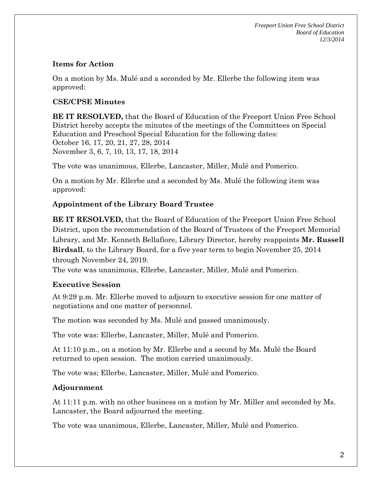*Freeport Union Free School District Board of Education 12/3/2014*

### **Items for Action**

On a motion by Ms. Mulé and a seconded by Mr. Ellerbe the following item was approved:

### **CSE/CPSE Minutes**

**BE IT RESOLVED,** that the Board of Education of the Freeport Union Free School District hereby accepts the minutes of the meetings of the Committees on Special Education and Preschool Special Education for the following dates: October 16, 17, 20, 21, 27, 28, 2014 November 3, 6, 7, 10, 13, 17, 18, 2014

The vote was unanimous, Ellerbe, Lancaster, Miller, Mulé and Pomerico.

On a motion by Mr. Ellerbe and a seconded by Ms. Mulé the following item was approved:

# **Appointment of the Library Board Trustee**

**BE IT RESOLVED,** that the Board of Education of the Freeport Union Free School District, upon the recommendation of the Board of Trustees of the Freeport Memorial Library, and Mr. Kenneth Bellafiore, Library Director, hereby reappoints **Mr. Russell Birdsall**, to the Library Board, for a five year term to begin November 25, 2014 through November 24, 2019.

The vote was unanimous, Ellerbe, Lancaster, Miller, Mulé and Pomerico.

#### **Executive Session**

At 9:29 p.m. Mr. Ellerbe moved to adjourn to executive session for one matter of negotiations and one matter of personnel.

The motion was seconded by Ms. Mulé and passed unanimously.

The vote was: Ellerbe, Lancaster, Miller, Mulé and Pomerico.

At 11:10 p.m., on a motion by Mr. Ellerbe and a second by Ms. Mulé the Board returned to open session. The motion carried unanimously.

The vote was; Ellerbe, Lancaster, Miller, Mulé and Pomerico.

# **Adjournment**

At 11:11 p.m. with no other business on a motion by Mr. Miller and seconded by Ms. Lancaster, the Board adjourned the meeting.

The vote was unanimous, Ellerbe, Lancaster, Miller, Mulé and Pomerico.